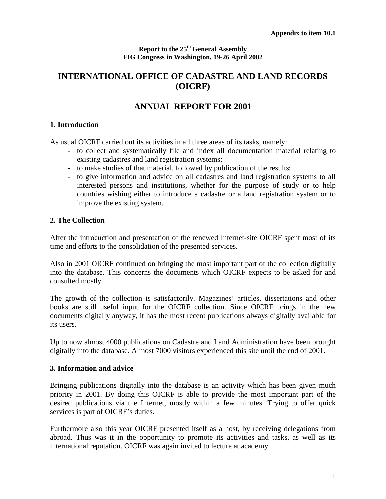#### **Report to the 25th General Assembly FIG Congress in Washington, 19-26 April 2002**

## **INTERNATIONAL OFFICE OF CADASTRE AND LAND RECORDS (OICRF)**

# **ANNUAL REPORT FOR 2001**

#### **1. Introduction**

As usual OICRF carried out its activities in all three areas of its tasks, namely:

- to collect and systematically file and index all documentation material relating to existing cadastres and land registration systems;
- to make studies of that material, followed by publication of the results;
- to give information and advice on all cadastres and land registration systems to all interested persons and institutions, whether for the purpose of study or to help countries wishing either to introduce a cadastre or a land registration system or to improve the existing system.

#### **2. The Collection**

After the introduction and presentation of the renewed Internet-site OICRF spent most of its time and efforts to the consolidation of the presented services.

Also in 2001 OICRF continued on bringing the most important part of the collection digitally into the database. This concerns the documents which OICRF expects to be asked for and consulted mostly.

The growth of the collection is satisfactorily. Magazines' articles, dissertations and other books are still useful input for the OICRF collection. Since OICRF brings in the new documents digitally anyway, it has the most recent publications always digitally available for its users.

Up to now almost 4000 publications on Cadastre and Land Administration have been brought digitally into the database. Almost 7000 visitors experienced this site until the end of 2001.

#### **3. Information and advice**

Bringing publications digitally into the database is an activity which has been given much priority in 2001. By doing this OICRF is able to provide the most important part of the desired publications via the Internet, mostly within a few minutes. Trying to offer quick services is part of OICRF's duties.

Furthermore also this year OICRF presented itself as a host, by receiving delegations from abroad. Thus was it in the opportunity to promote its activities and tasks, as well as its international reputation. OICRF was again invited to lecture at academy.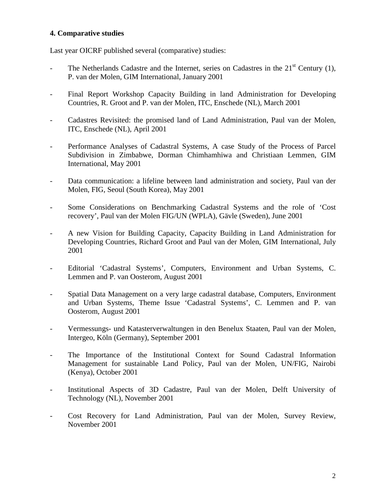#### **4. Comparative studies**

Last year OICRF published several (comparative) studies:

- The Netherlands Cadastre and the Internet, series on Cadastres in the  $21<sup>st</sup>$  Century (1), P. van der Molen, GIM International, January 2001
- Final Report Workshop Capacity Building in land Administration for Developing Countries, R. Groot and P. van der Molen, ITC, Enschede (NL), March 2001
- Cadastres Revisited: the promised land of Land Administration, Paul van der Molen, ITC, Enschede (NL), April 2001
- Performance Analyses of Cadastral Systems, A case Study of the Process of Parcel Subdivision in Zimbabwe, Dorman Chimhamhiwa and Christiaan Lemmen, GIM International, May 2001
- Data communication: a lifeline between land administration and society, Paul van der Molen, FIG, Seoul (South Korea), May 2001
- Some Considerations on Benchmarking Cadastral Systems and the role of 'Cost recovery', Paul van der Molen FIG/UN (WPLA), Gävle (Sweden), June 2001
- A new Vision for Building Capacity, Capacity Building in Land Administration for Developing Countries, Richard Groot and Paul van der Molen, GIM International, July 2001
- Editorial 'Cadastral Systems', Computers, Environment and Urban Systems, C. Lemmen and P. van Oosterom, August 2001
- Spatial Data Management on a very large cadastral database, Computers, Environment and Urban Systems, Theme Issue 'Cadastral Systems', C. Lemmen and P. van Oosterom, August 2001
- Vermessungs- und Katasterverwaltungen in den Benelux Staaten, Paul van der Molen, Intergeo, Köln (Germany), September 2001
- The Importance of the Institutional Context for Sound Cadastral Information Management for sustainable Land Policy, Paul van der Molen, UN/FIG, Nairobi (Kenya), October 2001
- Institutional Aspects of 3D Cadastre, Paul van der Molen, Delft University of Technology (NL), November 2001
- Cost Recovery for Land Administration, Paul van der Molen, Survey Review, November 2001